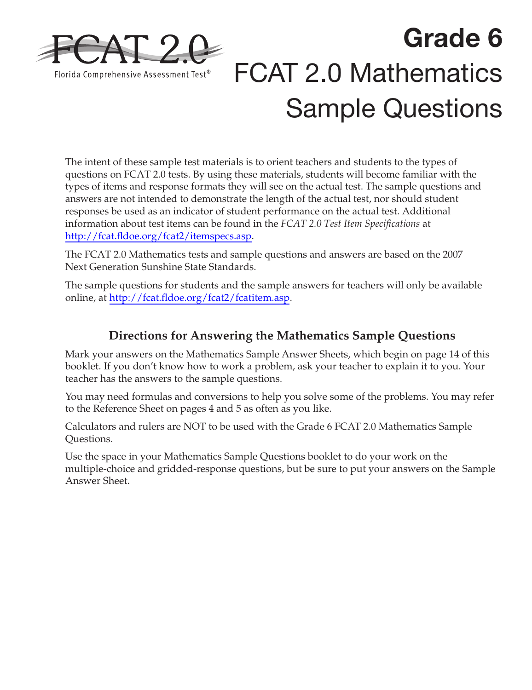

# **Grade 6**  FCAT 2.0 Mathematics Sample Questions

The intent of these sample test materials is to orient teachers and students to the types of questions on FCAT 2.0 tests. By using these materials, students will become familiar with the types of items and response formats they will see on the actual test. The sample questions and answers are not intended to demonstrate the length of the actual test, nor should student responses be used as an indicator of student performance on the actual test. Additional information about test items can be found in the *FCAT 2.0 Test Item Specifications* at [http://fcat.fldoe.org/fcat2/itemspecs.asp.](http://fcat.fldoe.org/fcat2/itemspecs.asp)

The FCAT 2.0 Mathematics tests and sample questions and answers are based on the 2007 Next Generation Sunshine State Standards.

The sample questions for students and the sample answers for teachers will only be available online, at [http://fcat.fldoe.org/fcat2/fcatitem.asp.](http://fcat.fldoe.org/fcat2/fcatitem.asp)

# **Directions for Answering the Mathematics Sample Questions**

Mark your answers on the Mathematics Sample Answer Sheets, which begin on [page 14](#page-13-0) of this booklet. If you don't know how to work a problem, ask your teacher to explain it to you. Your teacher has the answers to the sample questions.

You may need formulas and conversions to help you solve some of the problems. You may refer to the Reference Sheet on [pages 4 and 5](#page-3-0) as often as you like.

Calculators and rulers are NOT to be used with the Grade 6 FCAT 2.0 Mathematics Sample Questions.

Use the space in your Mathematics Sample Questions booklet to do your work on the multiple-choice and gridded-response questions, but be sure to put your answers on the Sample Answer Sheet.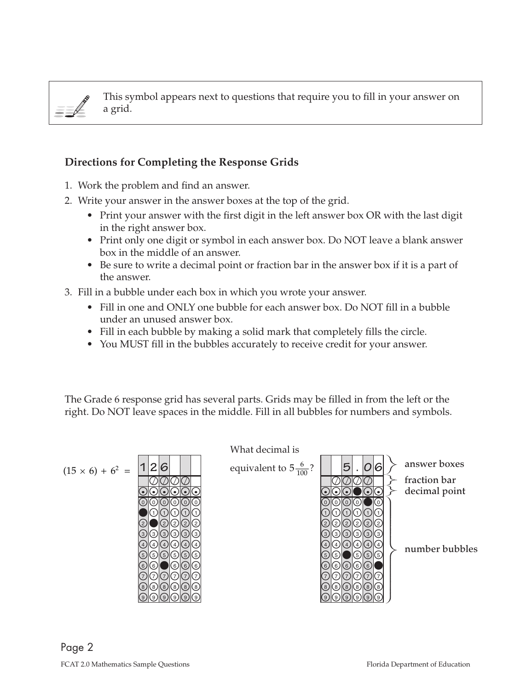$\equiv \neq$ 

This symbol appears next to questions that require you to fill in your answer on a grid.

#### **Directions for Completing the Response Grids**

- 1. Work the problem and find an answer.
- 2. Write your answer in the answer boxes at the top of the grid.
	- Print your answer with the first digit in the left answer box OR with the last digit in the right answer box.
	- Print only one digit or symbol in each answer box. Do NOT leave a blank answer box in the middle of an answer.
	- Be sure to write a decimal point or fraction bar in the answer box if it is a part of the answer.
- 3. Fill in a bubble under each box in which you wrote your answer.
	- Fill in one and ONLY one bubble for each answer box. Do NOT fill in a bubble under an unused answer box.
	- Fill in each bubble by making a solid mark that completely fills the circle.
	- You MUST fill in the bubbles accurately to receive credit for your answer.

The Grade 6 response grid has several parts. Grids may be filled in from the left or the right. Do NOT leave spaces in the middle. Fill in all bubbles for numbers and symbols.

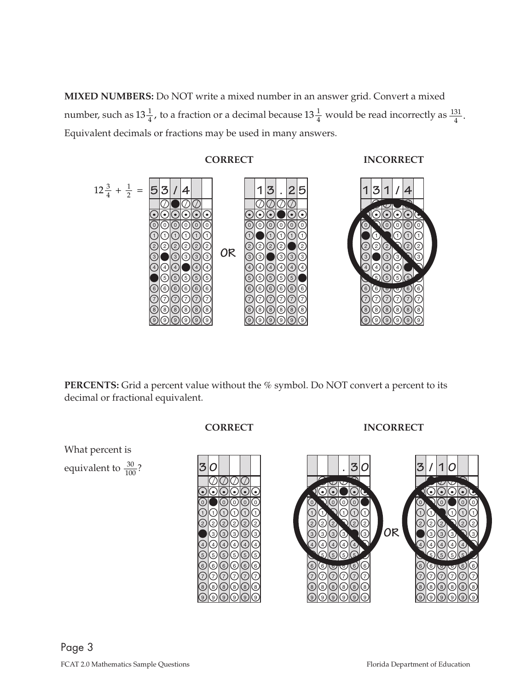number, such as  $13\frac{1}{4}$ , to a fraction or a decimal because  $13\frac{1}{4}$  would be read incorrectly as  $\frac{131}{4}$ . **MIXED NUMBERS:** Do NOT write a mixed number in an answer grid. Convert a mixed Equivalent decimals or fractions may be used in many answers.



**PERCENTS:** Grid a percent value without the % symbol. Do NOT convert a percent to its decimal or fractional equivalent.

> $\mathcal O\!\!\!\!/\,\!\!\!\!O\!\!\!\!/\,\!\!\!\!O\!\!\!\!/\,\!\!\!\!O\!\!\!\!/\,\!\!\!\!O\!\!\!\!/\,\!\!\!O\!\!\!\!/\,\!\!\!O\!\!\!\!/\,\!\!\!$  $\overline{\odot} \, \overline{\circ} \, \overline{\circ} \, \overline{\circ} \, \overline{\circ} \, \overline{\circ} \, \overline{\circ}$  $\circledcirc$  $\circledcirc$  $\oslash$  $\bullet$  $\bigcirc$ ල $| \odot |$  $|\circlearrowright$  $\oslash$ ි  $| \circ |$ ි  $\textcircled{\scriptsize{0}}$  $\rm\ddot{o}$ 1 2 .<br>4 5 6 7 8 .<br>9  $\bigcirc$  $\odot$  $\circledcirc$  $\circledcirc$  $\bigcirc$  $\odot$  $\circledcirc$  $\odot$  $\circledcirc$  $\circledcirc$ 1 2 3 .<br>4 5 6 7 8 .<br>و  $\odot$  $\odot$  $\odot$  $\odot$ ි  $\bigcirc$  $\odot$  $\odot$  $\odot$  $\circledcirc$  $\odot$  $\rm\ddot{o}$ 1  $\overline{2}$ 3 .<br>4 5 6 7 8 .<br>9  $\odot$  $\odot$  $\circledcirc$  $\circledcirc$  $\bigcirc$  $\odot$  $\circledcirc$  $\odot$  $\circledcirc$  $\circledcirc$  $\rm\ddot{o}$ 1 2 3 .<br>4 5 6 7 8 .<br>و  $\odot$  $\odot$  $\odot$  $\odot$ ි  $\bigcirc$  $\odot$  $\odot$  $\odot$  $\circledcirc$  $\odot$  $\rm\ddot{o}$ 1  $\overline{2}$ 3 .<br>4 5 6 7 8 .<br>9  $\odot$  $\odot$  $\circledcirc$  $\circledcirc$  $\circledcirc$  $\circledcirc$  $\circledcirc$  $\odot$  $\circledcirc$  $\odot$  $\rm\ddot{o}$ 1 2 3 .<br>4 5 6 7 8 .<br>و **. 3 0**  $\mathscr{L}$  $\overline{\phantom{a}}$  .  $\sqrt{\phantom{a}}$  $\bullet$  $\odot$ C  $\odot$  $\odot$  $\bigcirc$  $\mathbb{C}^d$  $\odot$  $\odot$  $\circledcirc$  $\odot$  $\overline{0}$ 1 2 3 ِ<br>4 6 7 8 .<br>9  $\Omega$  $\bullet$  $\bigcirc$  $\odot$ ි  $\bigcirc$  $\bigcirc$  $\bullet$  $\circledcirc$  $\circ$  $\circledcirc$ 0 1 2 3 <u>ّ</u> 5 6 7 8 .<br>و  $\odot$  $\mathcal{D}$  $\bullet$  $|\odot|$ ଓ  $\bigcirc$  $\bigcirc$  $\overline{\mathbb{U}}$  $\circledcirc$  $\circ$  $\circledcirc$  $\rm\overline{0}$ 1 2 3 ِ<br>4 5 6 7 8 .<br>9  $\odot$  $\odot$ C  $\mathbf{Q}$  $\odot$  $\bigcirc$  $\bigcirc$  $\bigcirc$  $\circledcirc$  $\circ$  $\circledcirc$ 1 2 3 .<br>4 5 6 7 8 .<br>و  $\odot$  (  $\odot$ C  $\bigcirc$ »  $\bigcirc$  $\odot$  $\circledcirc$  $\circledcirc$  $\circ$  $\circledcirc$  $\rm\overline{0}$ 1 2 ِ<br>4 5 6 7 8 .<br>9  $\blacksquare$  $\odot$  $\odot$  $\odot\hspace{-0.75mm}\odot$  $\mathbf{v}$  $\mathbb{Z}$  $\odot$  $\circledcirc$  $\odot$  $\odot$ 3 1 2 4 6 7 8 .<br>و  $\rm\ddot{o}$ **OR / 13 0**  $\sqrt{\frac{1}{2}}$ \\\\\\ **. . . . . .**  $\bullet$  $\odot$  $\odot$  $\bigcirc$  $\bigcirc$  $\mathbb{C}^4$  $\odot$  $\odot$  $\circledcirc$  $\odot$  $\rm\overline{0}$ 1 2 ِ<br>4 6 7 8 .<br>9  $\mathcal{D}$  $\bullet$  $\bigcirc$  $\odot$ ි  $\bigcirc$  $\bigcirc$  $\bigcirc$  $\circledcirc$  $\circ$  $\circledcirc$ 0 1 2 3 .<br>4 5 6 7 8 .<br>و  $\odot$ »  $\bullet$  $|\odot|$ ଓ  $\bigcirc$  $\bigcirc$  $\overline{\mathbb{U}}$  $\circledcirc$  $\circ$  $\circledcirc$  $\rm\overline{0}$ 2 3 ِ<br>4 5 6 7 8 .<br>9  $\bullet$  $\odot$ C  $\mathbf{Q}$  $\odot$  $\bigcirc$  $\bigcirc$  $\cup$  $\circledcirc$  $\circ$  $\circledcirc$ 1 2 3 .<br>4 5 6 7 8 .<br>و  $\odot$ C  $\bigcirc$  $\mathcal{D}$  $\bigcirc$  $\odot$  $\odot$  $\circledcirc$  $\circ$  $\circledcirc$ 1 2 3 ِ<br>4 5 6 7 8 .<br>9  $\circledcirc$  $\odot$  $\odot$  $\odot$  .  $\mathbf{Z}$  $\mathbb{Z}^+$  $\odot$  $\circ$  $\odot$  $\odot$  $\rm\ddot{o}$ 1 2 3 4 6 7 8 .<br>و

**CORRECT INCORRECT** 

What percent is  
equivalent to 
$$
\frac{30}{100}
$$
?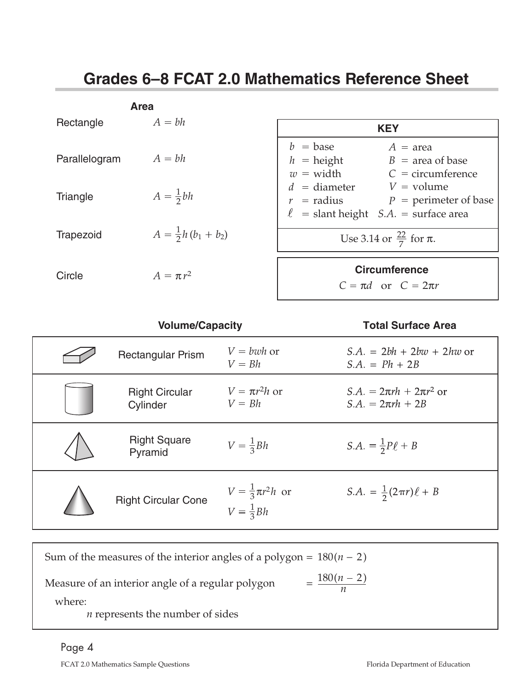# <span id="page-3-0"></span>**Grades 6–8 FCAT 2.0 Mathematics Reference Sheet**

|               | <b>Area</b>                   |                                                                                                                                                             |
|---------------|-------------------------------|-------------------------------------------------------------------------------------------------------------------------------------------------------------|
| Rectangle     | $A = bh$                      | <b>KEY</b>                                                                                                                                                  |
| Parallelogram | $A = bh$                      | $b = \text{base}$<br>$A = \text{area}$<br>$h =$ height<br>$B = \text{area of base}$<br>$w = width$<br>$C =$ circumference<br>$d =$ diameter<br>$V =$ volume |
| Triangle      | $A=\frac{1}{2}bh$             | $r =$ radius $P =$ perimeter of base                                                                                                                        |
|               |                               | $\ell$ = slant height <i>S.A.</i> = surface area                                                                                                            |
| Trapezoid     | $A = \frac{1}{2}h(b_1 + b_2)$ | Use 3.14 or $\frac{22}{7}$ for $\pi$ .                                                                                                                      |
| Circle        | $A = \pi r^2$                 | <b>Circumference</b><br>$C = \pi d$ or $C = 2\pi r$                                                                                                         |

| <b>Volume/Capacity</b>            |                                                      | <b>Total Surface Area</b>                                 |  |  |  |
|-----------------------------------|------------------------------------------------------|-----------------------------------------------------------|--|--|--|
| <b>Rectangular Prism</b>          | $V = bwh$ or<br>$V = Bh$                             | $S.A. = 2bh + 2b\omega + 2h\omega$ or<br>$S.A. = Ph + 2B$ |  |  |  |
| <b>Right Circular</b><br>Cylinder | $V = \pi r^2 h$ or<br>$V = Bh$                       | $S.A. = 2\pi rh + 2\pi r^2$ or<br>$S.A. = 2\pi rh + 2B$   |  |  |  |
| <b>Right Square</b><br>Pyramid    | $V=\frac{1}{3}Bh$                                    | S.A. = $\frac{1}{2}P\ell + B$                             |  |  |  |
| <b>Right Circular Cone</b>        | $V = \frac{1}{3}\pi r^2 h$ or<br>$V = \frac{1}{3}Bh$ | S.A. = $\frac{1}{2}(2\pi r)\ell + B$                      |  |  |  |

| Sum of the measures of the interior angles of a polygon = $180(n - 2)$ |                       |  |  |
|------------------------------------------------------------------------|-----------------------|--|--|
| Measure of an interior angle of a regular polygon                      | $=\frac{180(n-2)}{2}$ |  |  |
| where:                                                                 |                       |  |  |
| <i>n</i> represents the number of sides                                |                       |  |  |

## Page 4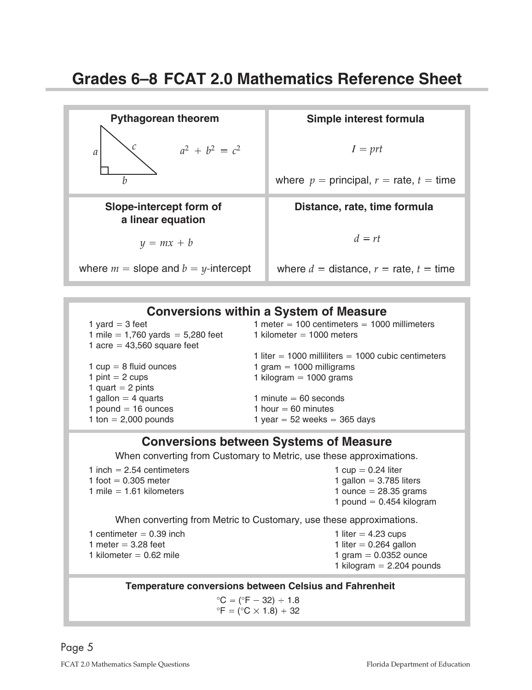| <b>Pythagorean theorem</b>                   | Simple interest formula                       |
|----------------------------------------------|-----------------------------------------------|
| $a^2 + b^2 = c^2$<br>$\mathfrak a$           | $I = prt$                                     |
| h                                            | where $p =$ principal, $r =$ rate, $t =$ time |
| Slope-intercept form of<br>a linear equation | Distance, rate, time formula                  |
|                                              |                                               |
| $y = mx + b$                                 | $d = rt$                                      |

### **Conversions within a System of Measure**

1 yard  $=$  3 feet 1 mile =  $1,760$  yards =  $5,280$  feet 1 acre =  $43,560$  square feet 1  $cup = 8$  fluid ounces 1 pint  $= 2$  cups 1 quart  $= 2$  pints 1 gallon  $=$  4 quarts  $1$  pound  $=$  16 ounces 1 ton  $= 2,000$  pounds 1 meter =  $100$  centimeters =  $1000$  millimeters 1 kilometer =  $1000$  meters 1 liter  $=$  1000 milliliters  $=$  1000 cubic centimeters 1 gram  $=$  1000 milligrams 1 kilogram  $= 1000$  grams 1 minute  $= 60$  seconds 1 hour  $= 60$  minutes 1 year  $= 52$  weeks  $= 365$  days

#### **Conversions between Systems of Measure**

When converting from Customary to Metric, use these approximations.

| 1 inch $= 2.54$ centimeters<br>1 foot $= 0.305$ meter<br>1 mile $= 1.61$ kilometers     | 1 $cup = 0.24$ liter<br>1 gallon = $3.785$ liters<br>1 ounce $= 28.35$ grams<br>1 pound $= 0.454$ kilogram  |  |  |  |  |
|-----------------------------------------------------------------------------------------|-------------------------------------------------------------------------------------------------------------|--|--|--|--|
| When converting from Metric to Customary, use these approximations.                     |                                                                                                             |  |  |  |  |
| 1 centimeter $= 0.39$ inch<br>1 meter $= 3.28$ feet<br>1 kilometer = $0.62$ mile        | 1 liter $=$ 4.23 cups<br>1 liter = $0.264$ gallon<br>1 gram = $0.0352$ ounce<br>1 kilogram $= 2.204$ pounds |  |  |  |  |
| <b>Temperature conversions between Celsius and Fahrenheit</b>                           |                                                                                                             |  |  |  |  |
| $^{\circ}C = (^{\circ}F - 32) \div 1.8$<br>$\mathrm{P} = (\mathrm{P}C \times 1.8) + 32$ |                                                                                                             |  |  |  |  |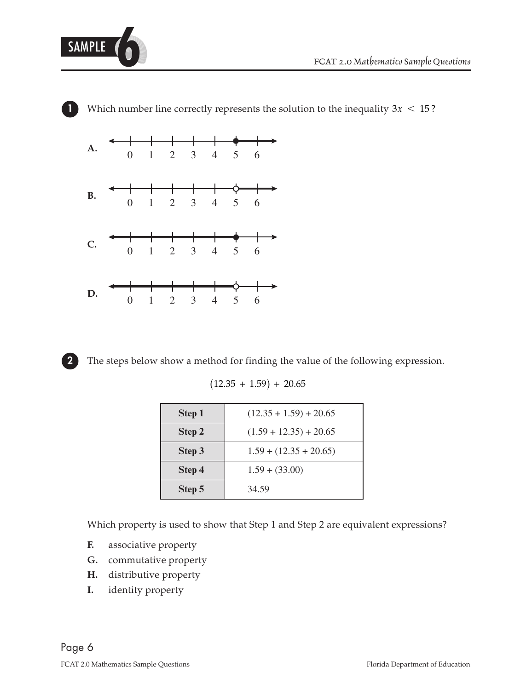







**2** The steps below show a method for finding the value of the following expression.

 $(12.35 + 1.59) + 20.65$ 

| Step 1 | $(12.35 + 1.59) + 20.65$ |
|--------|--------------------------|
| Step 2 | $(1.59 + 12.35) + 20.65$ |
| Step 3 | $1.59 + (12.35 + 20.65)$ |
| Step 4 | $1.59 + (33.00)$         |
| Step 5 | 34.59                    |

Which property is used to show that Step 1 and Step 2 are equivalent expressions?

- **F.** associative property
- **G.** commutative property
- **H.** distributive property
- **I.** identity property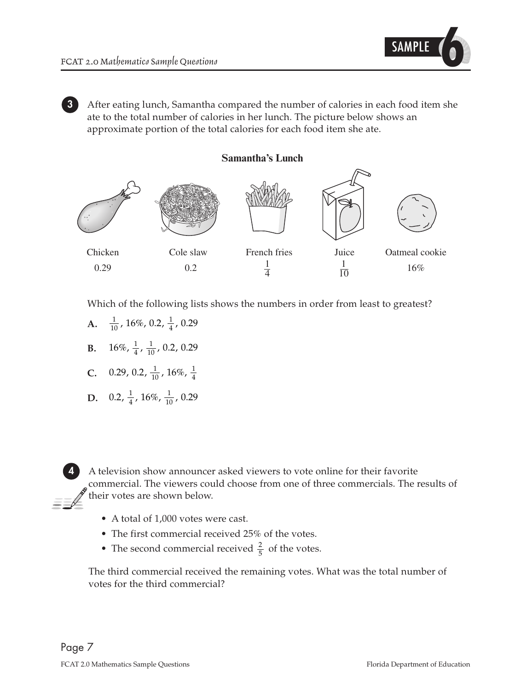

**3** After eating lunch, Samantha compared the number of calories in each food item she ate to the total number of calories in her lunch. The picture below shows an approximate portion of the total calories for each food item she ate.

**Samantha's Lunch** 



Which of the following lists shows the numbers in order from least to greatest?

- $\frac{1}{10}$ , 16%, 0.2,  $\frac{1}{4}$ , 0.29 **A.**
- **B.**  $16\%, \frac{1}{4}, \frac{1}{10}, 0.2, 0.29$
- **C.** 0.29, 0.2,  $\frac{1}{10}$ , 16%,  $\frac{1}{4}$
- **D.** 0.2,  $\frac{1}{4}$ , 16%,  $\frac{1}{10}$ , 0.29

**4** A television show announcer asked viewers to vote online for their favorite commercial. The viewers could choose from one of three commercials. The results of their votes are shown below.

- A total of 1,000 votes were cast.
- The first commercial received 25% of the votes.
- 2 • The second commercial received  $\frac{2}{5}$  of the votes.

The third commercial received the remaining votes. What was the total number of votes for the third commercial?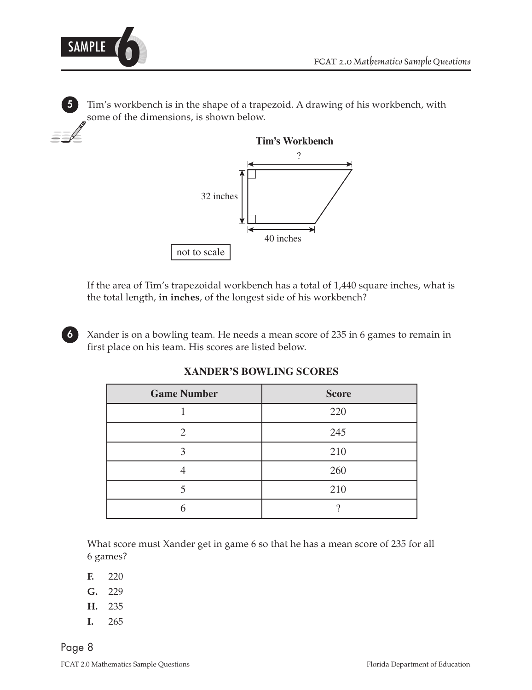

SAMPLE **6** *FCAT 2.0 Mathematics Sample Questions* 

**5** Tim's workbench is in the shape of a trapezoid. A drawing of his workbench, with some of the dimensions, is shown below.



If the area of Tim's trapezoidal workbench has a total of 1,440 square inches, what is the total length, **in inches**, of the longest side of his workbench?

**6** Xander is on a bowling team. He needs a mean score of 235 in 6 games to remain in first place on his team. His scores are listed below.

| <b>Game Number</b> | <b>Score</b> |
|--------------------|--------------|
|                    | 220          |
| ◠                  | 245          |
|                    | 210          |
|                    | 260          |
|                    | 210          |
|                    |              |

**XANDER'S BOWLING SCORES** 

What score must Xander get in game 6 so that he has a mean score of 235 for all 6 games?

- **F.** 220
- **G.** 229
- **H.** 235
- **I.** 265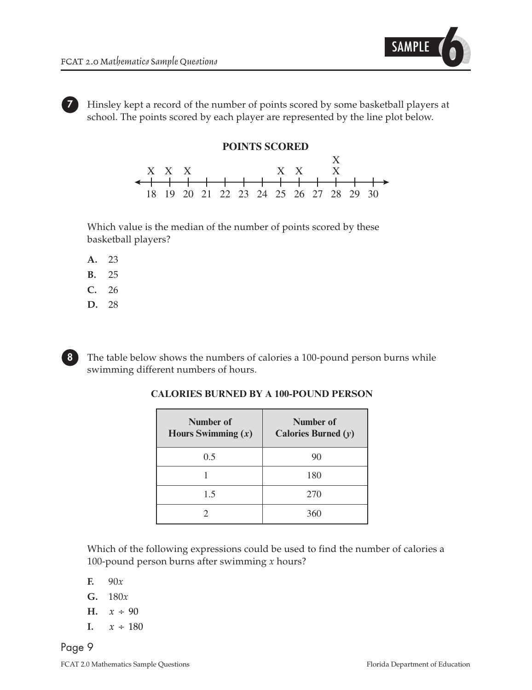

**7** Hinsley kept a record of the number of points scored by some basketball players at school. The points scored by each player are represented by the line plot below.

#### **POINTS SCORED**



Which value is the median of the number of points scored by these basketball players?

- **A.** 23
- **B.** 25
- **C.** 26
- **D.** 28

**8**

The table below shows the numbers of calories a 100-pound person burns while swimming different numbers of hours.

| Number of<br>Hours Swimming $(x)$ | Number of<br>Calories Burned $(y)$ |
|-----------------------------------|------------------------------------|
| 0.5                               | 90                                 |
|                                   | 180                                |
| 1.5                               | 270                                |
|                                   | 360                                |

#### **CALORIES BURNED BY A 100-POUND PERSON**

Which of the following expressions could be used to find the number of calories a 100-pound person burns after swimming *x* hours?

 $\mathbf{F}$ . 90*x* 

- **G.** 180*x*
- **H.**  $x \div 90$
- $x \div 180$  $\mathbf{I}$ .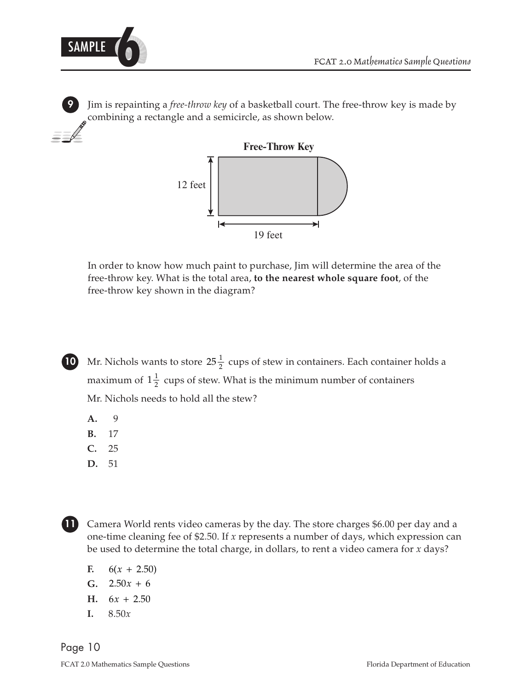

**9** Jim is repainting a *free-throw key* of a basketball court. The free-throw key is made by combining a rectangle and a semicircle, as shown below.



In order to know how much paint to purchase, Jim will determine the area of the free-throw key. What is the total area, **to the nearest whole square foot**, of the free-throw key shown in the diagram?



maximum of  $1\frac{1}{2}$  cups of stew. What is the minimum number of containers **10** Mr. Nichols wants to store  $25\frac{1}{2}$  cups of stew in containers. Each container holds a Mr. Nichols needs to hold all the stew?

- **A.** 9
- **B.** 17
- **C.** 25
- **D.** 51



**11** Camera World rents video cameras by the day. The store charges \$6.00 per day and a one-time cleaning fee of \$2.50. If *x* represents a number of days, which expression can be used to determine the total charge, in dollars, to rent a video camera for *x* days?

- $6(x + 2.50)$ **F.**
- $G. \quad 2.50x + 6.$
- $H. \quad 6x + 2.50$
- **I.** 8.50*x*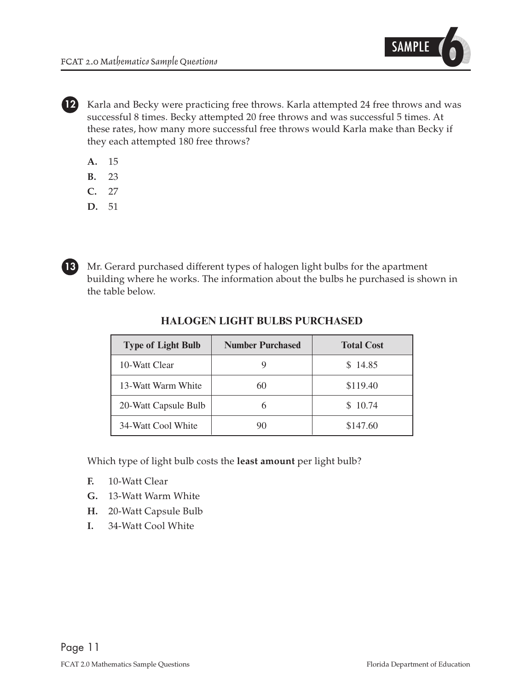

**12** Karla and Becky were practicing free throws. Karla attempted 24 free throws and was successful 8 times. Becky attempted 20 free throws and was successful 5 times. At these rates, how many more successful free throws would Karla make than Becky if they each attempted 180 free throws?

- **A.** 15
- **B.** 23
- **C.** 27
- **D.** 51



**13** Mr. Gerard purchased different types of halogen light bulbs for the apartment building where he works. The information about the bulbs he purchased is shown in the table below.

| <b>Type of Light Bulb</b> | <b>Number Purchased</b> | <b>Total Cost</b> |  |  |
|---------------------------|-------------------------|-------------------|--|--|
| 10-Watt Clear             |                         | \$14.85           |  |  |
| 13-Watt Warm White        | 60                      | \$119.40          |  |  |
| 20-Watt Capsule Bulb      |                         | \$10.74           |  |  |
| 34-Watt Cool White        |                         | \$147.60          |  |  |

#### **HALOGEN LIGHT BULBS PURCHASED**

Which type of light bulb costs the **least amount** per light bulb?

- **F.** 10-Watt Clear
- **G.** 13-Watt Warm White
- **H.** 20-Watt Capsule Bulb
- **I.** 34-Watt Cool White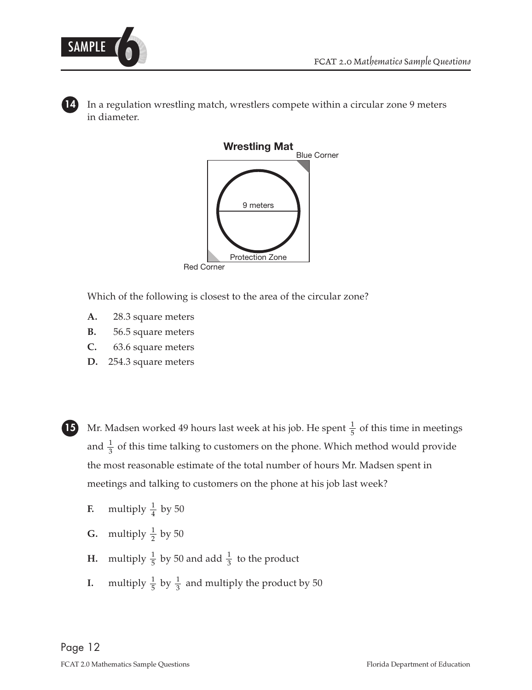

In a regulation wrestling match, wrestlers compete within a circular zone 9 meters in diameter.



Which of the following is closest to the area of the circular zone?

- **A.** 28.3 square meters
- **B.** 56.5 square meters
- **C.** 63.6 square meters
- **D.** 254.3 square meters



1 and  $\frac{1}{3}$  of this time talking to customers on the phone. Which method would provide **15** Mr. Madsen worked 49 hours last week at his job. He spent  $\frac{1}{5}$  of this time in meetings the most reasonable estimate of the total number of hours Mr. Madsen spent in meetings and talking to customers on the phone at his job last week?

- 1 **F.** multiply  $\frac{1}{4}$  by 50
- 1 **G.** multiply  $\frac{1}{2}$  by 50
- 1 3 1 **H.** multiply  $\frac{1}{5}$  by 50 and add  $\frac{1}{3}$  to the product
- 1 3 1 **I.** multiply  $\frac{1}{5}$  by  $\frac{1}{3}$  and multiply the product by 50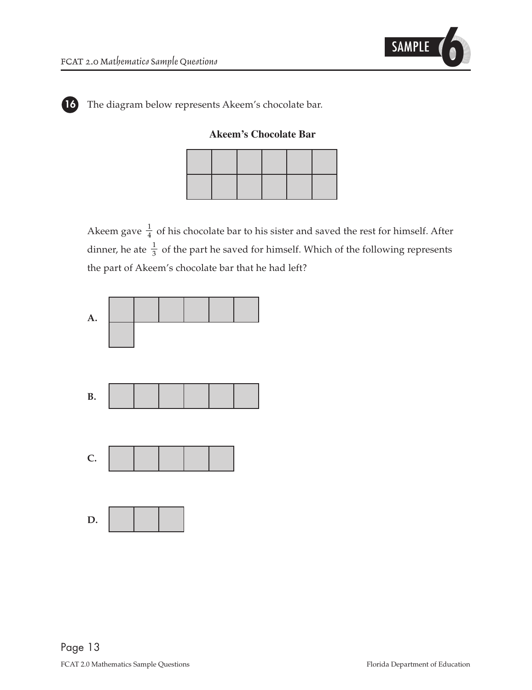

**16** The diagram below represents Akeem's chocolate bar.

**Akeem's Chocolate Bar** 

1 dinner, he ate  $\frac{1}{3}$  of the part he saved for himself. Which of the following represents 1 Akeem gave  $\frac{1}{4}$  of his chocolate bar to his sister and saved the rest for himself. After the part of Akeem's chocolate bar that he had left?

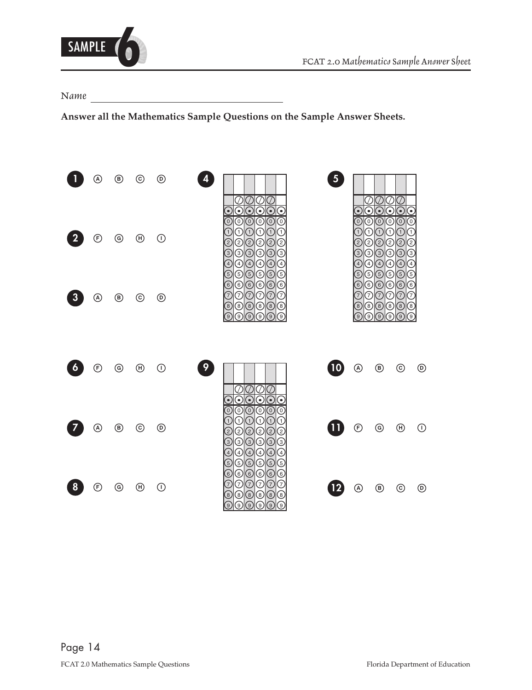<span id="page-13-0"></span>

*Name* 

**Answer all the Mathematics Sample Questions on the Sample Answer Sheets.** 

|                     | A)           | ◉              | ⊚                              | $\circledcirc$    | 5 <sup>1</sup><br>N<br>$\left(\frac{\pi}{2}\right)$<br>Z<br>☉<br>$(\bullet)$<br>$\bullet$<br>۰<br>€<br>$\bullet$                                                                                                                                                                                                                                                                                              |                                                                 | ۰<br>$\bullet$                                                                                    | Ŋ<br>N<br>$\left( \bullet \right)$<br>$(\bullet)$<br>$(\bullet)$                                                                          |                |
|---------------------|--------------|----------------|--------------------------------|-------------------|---------------------------------------------------------------------------------------------------------------------------------------------------------------------------------------------------------------------------------------------------------------------------------------------------------------------------------------------------------------------------------------------------------------|-----------------------------------------------------------------|---------------------------------------------------------------------------------------------------|-------------------------------------------------------------------------------------------------------------------------------------------|----------------|
|                     | ®            | $^\copyright$  | $^{\circledR}$                 | $\odot$           | $\overline{\copyright}$<br>⊚<br>$\hat{\odot}$<br>⊙<br>ⓒ<br>$\overline{0}$<br>$\mathbf{1}$<br>$\boxed{1}$<br>$\left(1\right)$<br>$\mathbf{1}$<br>$\mathbf{1}$<br>1<br>②<br>②<br>C<br>ℒ<br>C<br>②<br>③<br>③<br>$\odot$<br>③<br>①<br>☺<br>Œ<br>Ŧ<br>④<br>④<br>$\left( 4\right)$<br>4)                                                                                                                            | $\left[0\right]$<br>$^{2}$<br>હ<br>$^{(4)}$                     | $_{\odot}$<br>⊚<br>$\left(1\right)$<br>1.<br>②<br>②<br>$\circledcirc$<br>③<br>④<br>$\binom{4}{ }$ | ⊚<br>$_{\odot}$<br>ⓒ<br>Œ<br>$\left( 1\right)$<br>$\left( 1\right)$<br>☺<br>②<br>C<br>$_{\tiny \odot}$<br>$\circledS$<br>᠖<br>⊕<br>④<br>⊕ |                |
|                     | (A)          | ◉              | $_{\odot}$                     | ◉                 | G<br>⑤<br>⑤<br>⑤<br>⑤<br>T<br>$^\copyright$<br>⊚<br>$_{\circledcirc}$<br>⊚<br>$^\copyright$<br>⊚<br>T<br>T<br>7<br>7<br>℗<br>7<br>◉<br>◉<br>◉<br>◉<br>◉<br>$^{(8)}$<br>9.<br>$\overline{9}$<br>΄9 <sup>'</sup><br>[9<br>์9)                                                                                                                                                                                   | $\left(5\right)$<br>$\left(6\right)$<br>$\left(7\right)$<br>(8) | $^\circledR$<br>⊚<br>$^\circledR$<br>7)<br>$\circledcirc$<br>ெ<br>์ 9                             | ⑤<br>⑤<br>E<br>$_{\copyright}$<br>$^\copyright$<br>$^\copyright$<br>℗<br>$\circledcirc$<br>ⓒ<br>◉<br>$^\circledR$<br>®<br>ெ<br><u>်ခ</u>  | 9)             |
| $\ddot{\mathbf{6}}$ | $^\circledR$ | $\circledcirc$ | $\textcircled{\scriptsize{H}}$ | $\odot$           | 9<br>10                                                                                                                                                                                                                                                                                                                                                                                                       | $^{\circledR}$                                                  | $^{\circledR}$                                                                                    | $_{\odot}$                                                                                                                                | $^{\circledR}$ |
|                     | (A)          | ◉              | $\odot$                        | $^{\circledR}$    | ⊙∣⊙∣⊙<br>€<br>$(\bullet)$<br>⊚<br>$_{\odot}$<br>$_{\copyright}$<br>$\left[0\right]$<br>O)<br>$\overline{0}$<br>$\left( 1\right)$<br>$\left(1\right)$<br>$\left(1\right)$<br>$\left( 1\right)$<br>$\mathbf{I}$<br>$\mathbf{1}$<br>②<br>☺<br>②<br>➁<br>②<br>☺<br>G<br>☺<br>͡<br>③<br>③<br>③<br>$\left(4\right)$<br>$\left( 4\right)$<br>$\left(4\right)$<br>$\overline{A}$<br>$\mathcal{A}$<br>$\left(4\right)$ | ⊕                                                               | ⊚                                                                                                 | $\circled{\scriptstyle\mathrm{H}}$                                                                                                        | (1)            |
|                     | (F)          | ⊚              | $\left(\mathsf{H}\right)$      | $\left( 1\right)$ | ⑤<br>⑤<br>T<br>⑤<br>᠖<br>5<br>᠖<br>C<br>᠖<br>⊛<br>ⓒ<br>⊚<br>T<br>⊙<br>Д<br>⊙<br>℗<br>T<br>$^\circledR$<br>◉<br>⊛<br>⊛<br>⊛<br>$\left[8\right]$<br>(၅)<br>(၆)<br>9)<br>9)<br>9)<br>( 9 )                                                                                                                                                                                                                       | (A)                                                             | $\circled{\scriptstyle\textrm{B}}$                                                                | (c)                                                                                                                                       | (D)            |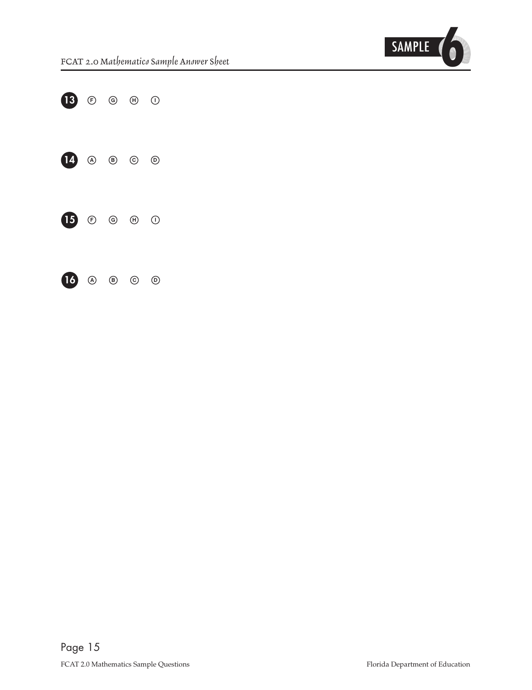